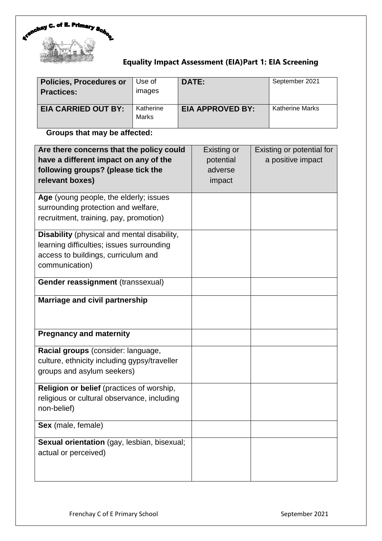

# **Equality Impact Assessment (EIA)Part 1: EIA Screening**

| <b>Policies, Procedures or</b><br><b>Practices:</b> | Use of<br><b>Images</b> | DATE:                   | September 2021         |
|-----------------------------------------------------|-------------------------|-------------------------|------------------------|
| <b>EIA CARRIED OUT BY:</b>                          | Katherine<br>Marks      | <b>EIA APPROVED BY:</b> | <b>Katherine Marks</b> |

# **Groups that may be affected:**

| Are there concerns that the policy could<br>have a different impact on any of the<br>following groups? (please tick the<br>relevant boxes)        | <b>Existing or</b><br>potential<br>adverse<br>impact | Existing or potential for<br>a positive impact |
|---------------------------------------------------------------------------------------------------------------------------------------------------|------------------------------------------------------|------------------------------------------------|
| Age (young people, the elderly; issues<br>surrounding protection and welfare,<br>recruitment, training, pay, promotion)                           |                                                      |                                                |
| Disability (physical and mental disability,<br>learning difficulties; issues surrounding<br>access to buildings, curriculum and<br>communication) |                                                      |                                                |
| Gender reassignment (transsexual)                                                                                                                 |                                                      |                                                |
| Marriage and civil partnership                                                                                                                    |                                                      |                                                |
| <b>Pregnancy and maternity</b>                                                                                                                    |                                                      |                                                |
| Racial groups (consider: language,<br>culture, ethnicity including gypsy/traveller<br>groups and asylum seekers)                                  |                                                      |                                                |
| Religion or belief (practices of worship,<br>religious or cultural observance, including<br>non-belief)                                           |                                                      |                                                |
| Sex (male, female)                                                                                                                                |                                                      |                                                |
| Sexual orientation (gay, lesbian, bisexual;<br>actual or perceived)                                                                               |                                                      |                                                |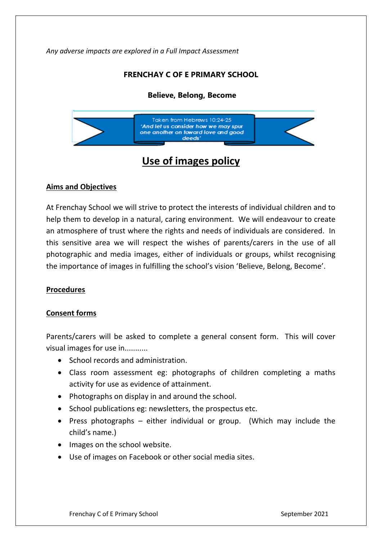*Any adverse impacts are explored in a Full Impact Assessment*

# **FRENCHAY C OF E PRIMARY SCHOOL**

# **Believe, Belong, Become**



# **Use of images policy**

#### **Aims and Objectives**

At Frenchay School we will strive to protect the interests of individual children and to help them to develop in a natural, caring environment. We will endeavour to create an atmosphere of trust where the rights and needs of individuals are considered. In this sensitive area we will respect the wishes of parents/carers in the use of all photographic and media images, either of individuals or groups, whilst recognising the importance of images in fulfilling the school's vision 'Believe, Belong, Become'.

#### **Procedures**

#### **Consent forms**

Parents/carers will be asked to complete a general consent form. This will cover visual images for use in...........

- School records and administration.
- Class room assessment eg: photographs of children completing a maths activity for use as evidence of attainment.
- Photographs on display in and around the school.
- $\bullet$  School publications eg: newsletters, the prospectus etc.
- Press photographs either individual or group. (Which may include the child's name.)
- Images on the school website.
- Use of images on Facebook or other social media sites.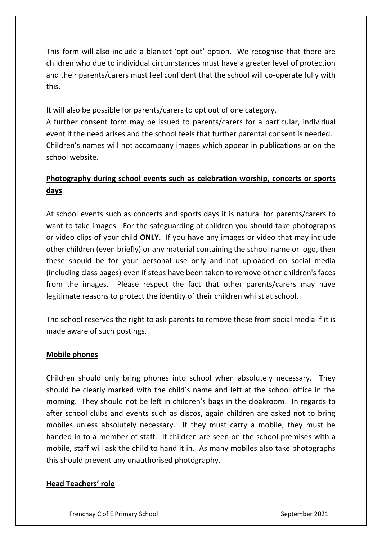This form will also include a blanket 'opt out' option. We recognise that there are children who due to individual circumstances must have a greater level of protection and their parents/carers must feel confident that the school will co-operate fully with this.

It will also be possible for parents/carers to opt out of one category.

A further consent form may be issued to parents/carers for a particular, individual event if the need arises and the school feels that further parental consent is needed. Children's names will not accompany images which appear in publications or on the school website.

# **Photography during school events such as celebration worship, concerts or sports days**

At school events such as concerts and sports days it is natural for parents/carers to want to take images. For the safeguarding of children you should take photographs or video clips of your child **ONLY**. If you have any images or video that may include other children (even briefly) or any material containing the school name or logo, then these should be for your personal use only and not uploaded on social media (including class pages) even if steps have been taken to remove other children's faces from the images. Please respect the fact that other parents/carers may have legitimate reasons to protect the identity of their children whilst at school.

The school reserves the right to ask parents to remove these from social media if it is made aware of such postings.

## **Mobile phones**

Children should only bring phones into school when absolutely necessary. They should be clearly marked with the child's name and left at the school office in the morning. They should not be left in children's bags in the cloakroom. In regards to after school clubs and events such as discos, again children are asked not to bring mobiles unless absolutely necessary. If they must carry a mobile, they must be handed in to a member of staff. If children are seen on the school premises with a mobile, staff will ask the child to hand it in. As many mobiles also take photographs this should prevent any unauthorised photography.

# **Head Teachers' role**